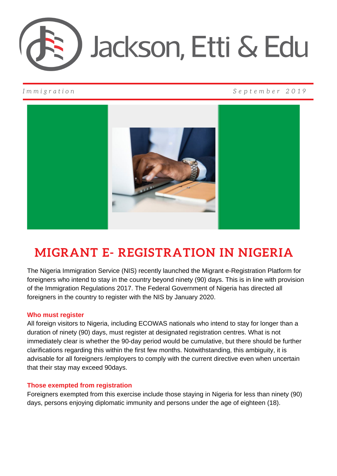

# *I m m i g r a t i o n S e p t e m b e r 2 0 1 9*



# **MIGRANT E- REGISTRATION IN NIGERIA**

The Nigeria Immigration Service (NIS) recently launched the Migrant e-Registration Platform for foreigners who intend to stay in the country beyond ninety (90) days. This is in line with provision of the Immigration Regulations 2017. The Federal Government of Nigeria has directed all foreigners in the country to register with the NIS by January 2020.

# **Who must register**

All foreign visitors to Nigeria, including ECOWAS nationals who intend to stay for longer than a duration of ninety (90) days, must register at designated registration centres. What is not immediately clear is whether the 90-day period would be cumulative, but there should be further clarifications regarding this within the first few months. Notwithstanding, this ambiguity, it is advisable for all foreigners /employers to comply with the current directive even when uncertain that their stay may exceed 90days.

# **Those exempted from registration**

Foreigners exempted from this exercise include those staying in Nigeria for less than ninety (90) days, persons enjoying diplomatic immunity and persons under the age of eighteen (18).